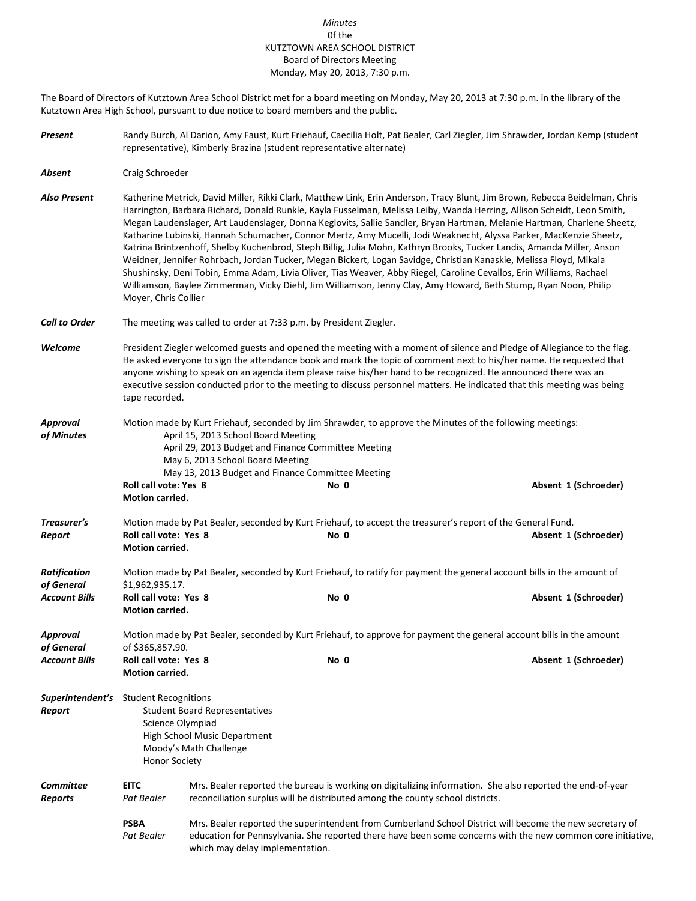## *Minutes* 0f the KUTZTOWN AREA SCHOOL DISTRICT Board of Directors Meeting Monday, May 20, 2013, 7:30 p.m.

The Board of Directors of Kutztown Area School District met for a board meeting on Monday, May 20, 2013 at 7:30 p.m. in the library of the Kutztown Area High School, pursuant to due notice to board members and the public.

- *Present* Randy Burch, Al Darion, Amy Faust, Kurt Friehauf, Caecilia Holt, Pat Bealer, Carl Ziegler, Jim Shrawder, Jordan Kemp (student representative), Kimberly Brazina (student representative alternate)
- *Absent* Craig Schroeder

*Also Present* Katherine Metrick, David Miller, Rikki Clark, Matthew Link, Erin Anderson, Tracy Blunt, Jim Brown, Rebecca Beidelman, Chris Harrington, Barbara Richard, Donald Runkle, Kayla Fusselman, Melissa Leiby, Wanda Herring, Allison Scheidt, Leon Smith, Megan Laudenslager, Art Laudenslager, Donna Keglovits, Sallie Sandler, Bryan Hartman, Melanie Hartman, Charlene Sheetz, Katharine Lubinski, Hannah Schumacher, Connor Mertz, Amy Mucelli, Jodi Weaknecht, Alyssa Parker, MacKenzie Sheetz, Katrina Brintzenhoff, Shelby Kuchenbrod, Steph Billig, Julia Mohn, Kathryn Brooks, Tucker Landis, Amanda Miller, Anson Weidner, Jennifer Rohrbach, Jordan Tucker, Megan Bickert, Logan Savidge, Christian Kanaskie, Melissa Floyd, Mikala Shushinsky, Deni Tobin, Emma Adam, Livia Oliver, Tias Weaver, Abby Riegel, Caroline Cevallos, Erin Williams, Rachael Williamson, Baylee Zimmerman, Vicky Diehl, Jim Williamson, Jenny Clay, Amy Howard, Beth Stump, Ryan Noon, Philip Moyer, Chris Collier

- *Call to Order* The meeting was called to order at 7:33 p.m. by President Ziegler.
- *Welcome* President Ziegler welcomed guests and opened the meeting with a moment of silence and Pledge of Allegiance to the flag. He asked everyone to sign the attendance book and mark the topic of comment next to his/her name. He requested that anyone wishing to speak on an agenda item please raise his/her hand to be recognized. He announced there was an executive session conducted prior to the meeting to discuss personnel matters. He indicated that this meeting was being tape recorded.
- *Approval* Motion made by Kurt Friehauf, seconded by Jim Shrawder, to approve the Minutes of the following meetings: of Minutes **April 15, 2013 School Board Meeting** April 29, 2013 Budget and Finance Committee Meeting May 6, 2013 School Board Meeting May 13, 2013 Budget and Finance Committee Meeting<br>Roll call vote: Yes 8 **Roll Controll Controll Controll Controll Controll Controll Controll Controll Controll Controll Controll Controll Controll Controll Controll Controll Controll Controll Controll Controll Controll Controll Controll Controll Motion carried.**
- *Treasurer's* Motion made by Pat Bealer, seconded by Kurt Friehauf, to accept the treasurer's report of the General Fund. *Report* **Roll call vote: Yes 8 No 0 Absent 1 (Schroeder) Motion carried.** *Ratification* Motion made by Pat Bealer, seconded by Kurt Friehauf, to ratify for payment the general account bills in the amount of *of General* \$1,962,935.17. *Account Bills* **Roll call vote: Yes 8 No 0 Absent 1 (Schroeder) Motion carried.** *Approval* Motion made by Pat Bealer, seconded by Kurt Friehauf, to approve for payment the general account bills in the amount *of General* of \$365,857.90. *Account Bills* **Roll call vote: Yes 8 No 0 Absent 1 (Schroeder) Motion carried.**
- *Superintendent's* Student Recognitions *Report* Student Board Representatives Science Olympiad High School Music Department Moody's Math Challenge Honor Society
- *Committee* **EITC** Mrs. Bealer reported the bureau is working on digitalizing information. She also reported the end-of-year *Reports Pat Bealer* reconciliation surplus will be distributed among the county school districts.
	- **PSBA** Mrs. Bealer reported the superintendent from Cumberland School District will become the new secretary of Pat Bealer education for Pennsylvania. She reported there have been some concerns with the new common core initiative, which may delay implementation.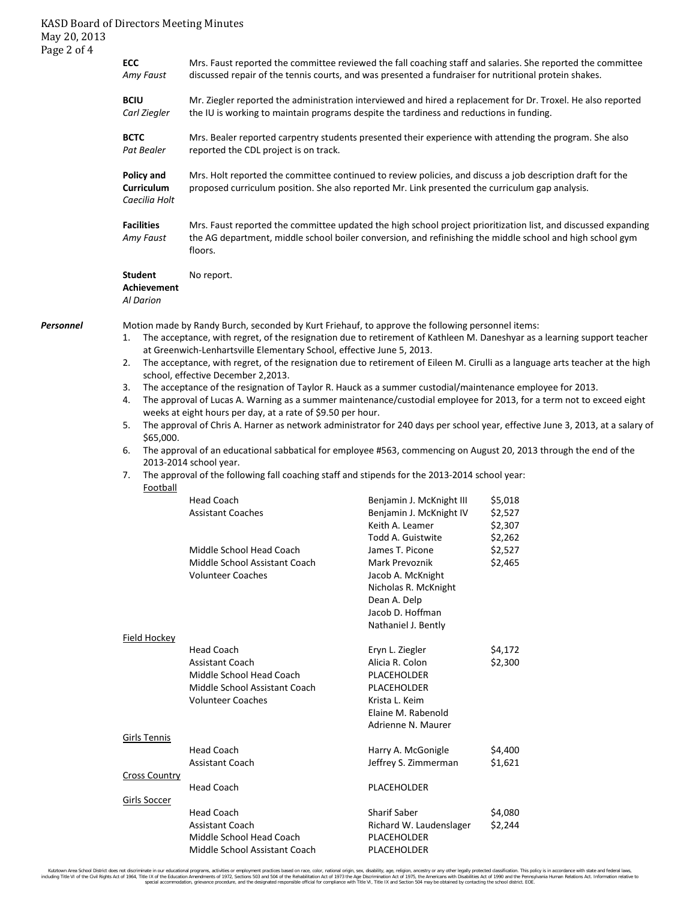## KASD Board of Directors Meeting Minutes May 20, 2013 Page 2 of 4

|           | ECC<br>Amy Faust                                                                                                                                                                                                                                                                                                                                                                                                                                   | Mrs. Faust reported the committee reviewed the fall coaching staff and salaries. She reported the committee<br>discussed repair of the tennis courts, and was presented a fundraiser for nutritional protein shakes.                    |                                                |                    |  |  |  |  |
|-----------|----------------------------------------------------------------------------------------------------------------------------------------------------------------------------------------------------------------------------------------------------------------------------------------------------------------------------------------------------------------------------------------------------------------------------------------------------|-----------------------------------------------------------------------------------------------------------------------------------------------------------------------------------------------------------------------------------------|------------------------------------------------|--------------------|--|--|--|--|
|           | <b>BCIU</b><br>Mr. Ziegler reported the administration interviewed and hired a replacement for Dr. Troxel. He also reported<br>Carl Ziegler<br>the IU is working to maintain programs despite the tardiness and reductions in funding.                                                                                                                                                                                                             |                                                                                                                                                                                                                                         |                                                |                    |  |  |  |  |
|           | <b>BCTC</b><br>Pat Bealer                                                                                                                                                                                                                                                                                                                                                                                                                          | Mrs. Bealer reported carpentry students presented their experience with attending the program. She also<br>reported the CDL project is on track.                                                                                        |                                                |                    |  |  |  |  |
|           | Policy and<br>Curriculum<br>Caecilia Holt                                                                                                                                                                                                                                                                                                                                                                                                          | Mrs. Holt reported the committee continued to review policies, and discuss a job description draft for the<br>proposed curriculum position. She also reported Mr. Link presented the curriculum gap analysis.                           |                                                |                    |  |  |  |  |
|           | <b>Facilities</b><br>Amy Faust                                                                                                                                                                                                                                                                                                                                                                                                                     | Mrs. Faust reported the committee updated the high school project prioritization list, and discussed expanding<br>the AG department, middle school boiler conversion, and refinishing the middle school and high school gym<br>floors.  |                                                |                    |  |  |  |  |
|           | Student<br><b>Achievement</b><br>Al Darion                                                                                                                                                                                                                                                                                                                                                                                                         | No report.                                                                                                                                                                                                                              |                                                |                    |  |  |  |  |
| Personnel | Motion made by Randy Burch, seconded by Kurt Friehauf, to approve the following personnel items:<br>The acceptance, with regret, of the resignation due to retirement of Kathleen M. Daneshyar as a learning support teacher<br>1.<br>at Greenwich-Lenhartsville Elementary School, effective June 5, 2013.<br>The acceptance, with regret, of the resignation due to retirement of Eileen M. Cirulli as a language arts teacher at the high<br>2. |                                                                                                                                                                                                                                         |                                                |                    |  |  |  |  |
|           | school, effective December 2,2013.                                                                                                                                                                                                                                                                                                                                                                                                                 |                                                                                                                                                                                                                                         |                                                |                    |  |  |  |  |
|           | 4.                                                                                                                                                                                                                                                                                                                                                                                                                                                 | The acceptance of the resignation of Taylor R. Hauck as a summer custodial/maintenance employee for 2013.<br>3.<br>The approval of Lucas A. Warning as a summer maintenance/custodial employee for 2013, for a term not to exceed eight |                                                |                    |  |  |  |  |
|           | weeks at eight hours per day, at a rate of \$9.50 per hour.                                                                                                                                                                                                                                                                                                                                                                                        |                                                                                                                                                                                                                                         |                                                |                    |  |  |  |  |
|           | The approval of Chris A. Harner as network administrator for 240 days per school year, effective June 3, 2013, at a salary of<br>5.                                                                                                                                                                                                                                                                                                                |                                                                                                                                                                                                                                         |                                                |                    |  |  |  |  |
|           | \$65,000.<br>6.                                                                                                                                                                                                                                                                                                                                                                                                                                    | The approval of an educational sabbatical for employee #563, commencing on August 20, 2013 through the end of the                                                                                                                       |                                                |                    |  |  |  |  |
|           |                                                                                                                                                                                                                                                                                                                                                                                                                                                    | 2013-2014 school year.                                                                                                                                                                                                                  |                                                |                    |  |  |  |  |
|           | The approval of the following fall coaching staff and stipends for the 2013-2014 school year:<br>7.<br><b>Football</b>                                                                                                                                                                                                                                                                                                                             |                                                                                                                                                                                                                                         |                                                |                    |  |  |  |  |
|           |                                                                                                                                                                                                                                                                                                                                                                                                                                                    | <b>Head Coach</b>                                                                                                                                                                                                                       | Benjamin J. McKnight III                       | \$5,018            |  |  |  |  |
|           |                                                                                                                                                                                                                                                                                                                                                                                                                                                    | <b>Assistant Coaches</b>                                                                                                                                                                                                                | Benjamin J. McKnight IV<br>Keith A. Leamer     | \$2,527<br>\$2,307 |  |  |  |  |
|           |                                                                                                                                                                                                                                                                                                                                                                                                                                                    |                                                                                                                                                                                                                                         | Todd A. Guistwite                              | \$2,262            |  |  |  |  |
|           |                                                                                                                                                                                                                                                                                                                                                                                                                                                    | Middle School Head Coach                                                                                                                                                                                                                | James T. Picone                                | \$2,527            |  |  |  |  |
|           |                                                                                                                                                                                                                                                                                                                                                                                                                                                    | Middle School Assistant Coach                                                                                                                                                                                                           | Mark Prevoznik                                 | \$2,465            |  |  |  |  |
|           |                                                                                                                                                                                                                                                                                                                                                                                                                                                    | <b>Volunteer Coaches</b>                                                                                                                                                                                                                | Jacob A. McKnight                              |                    |  |  |  |  |
|           |                                                                                                                                                                                                                                                                                                                                                                                                                                                    |                                                                                                                                                                                                                                         | Nicholas R. McKnight                           |                    |  |  |  |  |
|           |                                                                                                                                                                                                                                                                                                                                                                                                                                                    |                                                                                                                                                                                                                                         | Dean A. Delp                                   |                    |  |  |  |  |
|           |                                                                                                                                                                                                                                                                                                                                                                                                                                                    |                                                                                                                                                                                                                                         | Jacob D. Hoffman<br>Nathaniel J. Bently        |                    |  |  |  |  |
|           | Field Hockey                                                                                                                                                                                                                                                                                                                                                                                                                                       |                                                                                                                                                                                                                                         |                                                |                    |  |  |  |  |
|           |                                                                                                                                                                                                                                                                                                                                                                                                                                                    | <b>Head Coach</b>                                                                                                                                                                                                                       | Eryn L. Ziegler                                | \$4,172            |  |  |  |  |
|           |                                                                                                                                                                                                                                                                                                                                                                                                                                                    | <b>Assistant Coach</b>                                                                                                                                                                                                                  | Alicia R. Colon                                | \$2,300            |  |  |  |  |
|           |                                                                                                                                                                                                                                                                                                                                                                                                                                                    | Middle School Head Coach                                                                                                                                                                                                                | PLACEHOLDER                                    |                    |  |  |  |  |
|           |                                                                                                                                                                                                                                                                                                                                                                                                                                                    | Middle School Assistant Coach                                                                                                                                                                                                           | PLACEHOLDER                                    |                    |  |  |  |  |
|           |                                                                                                                                                                                                                                                                                                                                                                                                                                                    | <b>Volunteer Coaches</b>                                                                                                                                                                                                                | Krista L. Keim                                 |                    |  |  |  |  |
|           |                                                                                                                                                                                                                                                                                                                                                                                                                                                    |                                                                                                                                                                                                                                         | Elaine M. Rabenold<br>Adrienne N. Maurer       |                    |  |  |  |  |
|           | <b>Girls Tennis</b>                                                                                                                                                                                                                                                                                                                                                                                                                                |                                                                                                                                                                                                                                         |                                                |                    |  |  |  |  |
|           |                                                                                                                                                                                                                                                                                                                                                                                                                                                    | <b>Head Coach</b>                                                                                                                                                                                                                       | Harry A. McGonigle                             | \$4,400            |  |  |  |  |
|           |                                                                                                                                                                                                                                                                                                                                                                                                                                                    | <b>Assistant Coach</b>                                                                                                                                                                                                                  | Jeffrey S. Zimmerman                           | \$1,621            |  |  |  |  |
|           | <b>Cross Country</b>                                                                                                                                                                                                                                                                                                                                                                                                                               |                                                                                                                                                                                                                                         |                                                |                    |  |  |  |  |
|           |                                                                                                                                                                                                                                                                                                                                                                                                                                                    | <b>Head Coach</b>                                                                                                                                                                                                                       | PLACEHOLDER                                    |                    |  |  |  |  |
|           | <b>Girls Soccer</b>                                                                                                                                                                                                                                                                                                                                                                                                                                |                                                                                                                                                                                                                                         |                                                |                    |  |  |  |  |
|           |                                                                                                                                                                                                                                                                                                                                                                                                                                                    | <b>Head Coach</b><br><b>Assistant Coach</b>                                                                                                                                                                                             | <b>Sharif Saber</b><br>Richard W. Laudenslager | \$4,080<br>\$2,244 |  |  |  |  |
|           |                                                                                                                                                                                                                                                                                                                                                                                                                                                    | Middle School Head Coach                                                                                                                                                                                                                | PLACEHOLDER                                    |                    |  |  |  |  |
|           |                                                                                                                                                                                                                                                                                                                                                                                                                                                    | Middle School Assistant Coach                                                                                                                                                                                                           | PLACEHOLDER                                    |                    |  |  |  |  |

Kutztown Area School District does not discriminate in our educational programs, activities or employment practices based on race, color, national orgion, ance alther, and and for the reduce of 1972, Sections 501 972, Sect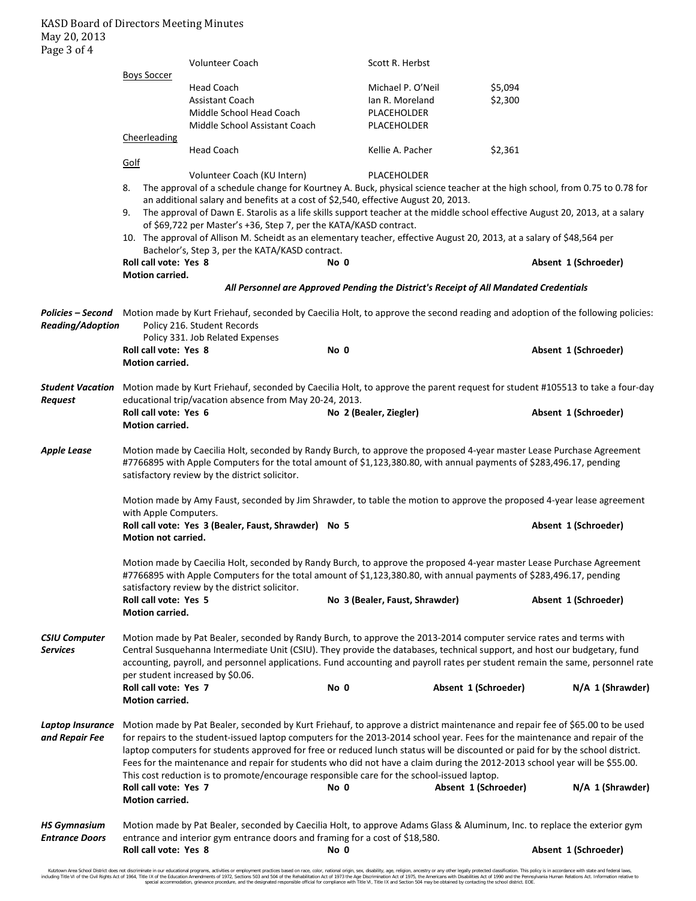|                                    |                                                                                                                                                                                                                                                                                                                                                                                                                                                                                                                                                                                                                             | Volunteer Coach                                                                                                            |                        | Scott R. Herbst                |                      |                      |  |  |
|------------------------------------|-----------------------------------------------------------------------------------------------------------------------------------------------------------------------------------------------------------------------------------------------------------------------------------------------------------------------------------------------------------------------------------------------------------------------------------------------------------------------------------------------------------------------------------------------------------------------------------------------------------------------------|----------------------------------------------------------------------------------------------------------------------------|------------------------|--------------------------------|----------------------|----------------------|--|--|
|                                    | <b>Boys Soccer</b>                                                                                                                                                                                                                                                                                                                                                                                                                                                                                                                                                                                                          | <b>Head Coach</b>                                                                                                          |                        | Michael P. O'Neil              | \$5,094              |                      |  |  |
|                                    |                                                                                                                                                                                                                                                                                                                                                                                                                                                                                                                                                                                                                             | <b>Assistant Coach</b>                                                                                                     |                        | Ian R. Moreland                | \$2,300              |                      |  |  |
|                                    |                                                                                                                                                                                                                                                                                                                                                                                                                                                                                                                                                                                                                             | Middle School Head Coach                                                                                                   |                        | PLACEHOLDER                    |                      |                      |  |  |
|                                    |                                                                                                                                                                                                                                                                                                                                                                                                                                                                                                                                                                                                                             | Middle School Assistant Coach                                                                                              |                        | PLACEHOLDER                    |                      |                      |  |  |
|                                    | Cheerleading                                                                                                                                                                                                                                                                                                                                                                                                                                                                                                                                                                                                                |                                                                                                                            |                        |                                |                      |                      |  |  |
|                                    |                                                                                                                                                                                                                                                                                                                                                                                                                                                                                                                                                                                                                             | <b>Head Coach</b>                                                                                                          |                        | Kellie A. Pacher               | \$2,361              |                      |  |  |
|                                    | Golf                                                                                                                                                                                                                                                                                                                                                                                                                                                                                                                                                                                                                        |                                                                                                                            |                        |                                |                      |                      |  |  |
|                                    |                                                                                                                                                                                                                                                                                                                                                                                                                                                                                                                                                                                                                             | Volunteer Coach (KU Intern)                                                                                                |                        | PLACEHOLDER                    |                      |                      |  |  |
|                                    | 8.                                                                                                                                                                                                                                                                                                                                                                                                                                                                                                                                                                                                                          | The approval of a schedule change for Kourtney A. Buck, physical science teacher at the high school, from 0.75 to 0.78 for |                        |                                |                      |                      |  |  |
|                                    | an additional salary and benefits at a cost of \$2,540, effective August 20, 2013.                                                                                                                                                                                                                                                                                                                                                                                                                                                                                                                                          |                                                                                                                            |                        |                                |                      |                      |  |  |
|                                    | The approval of Dawn E. Starolis as a life skills support teacher at the middle school effective August 20, 2013, at a salary<br>9.<br>of \$69,722 per Master's +36, Step 7, per the KATA/KASD contract.                                                                                                                                                                                                                                                                                                                                                                                                                    |                                                                                                                            |                        |                                |                      |                      |  |  |
|                                    | 10. The approval of Allison M. Scheidt as an elementary teacher, effective August 20, 2013, at a salary of \$48,564 per                                                                                                                                                                                                                                                                                                                                                                                                                                                                                                     |                                                                                                                            |                        |                                |                      |                      |  |  |
|                                    | Bachelor's, Step 3, per the KATA/KASD contract.                                                                                                                                                                                                                                                                                                                                                                                                                                                                                                                                                                             |                                                                                                                            |                        |                                |                      |                      |  |  |
|                                    | Roll call vote: Yes 8                                                                                                                                                                                                                                                                                                                                                                                                                                                                                                                                                                                                       |                                                                                                                            | No 0                   |                                |                      | Absent 1 (Schroeder) |  |  |
|                                    | Motion carried.                                                                                                                                                                                                                                                                                                                                                                                                                                                                                                                                                                                                             |                                                                                                                            |                        |                                |                      |                      |  |  |
|                                    |                                                                                                                                                                                                                                                                                                                                                                                                                                                                                                                                                                                                                             | All Personnel are Approved Pending the District's Receipt of All Mandated Credentials                                      |                        |                                |                      |                      |  |  |
| Reading/Adoption                   | Policies – Second Motion made by Kurt Friehauf, seconded by Caecilia Holt, to approve the second reading and adoption of the following policies:<br>Policy 216. Student Records                                                                                                                                                                                                                                                                                                                                                                                                                                             |                                                                                                                            |                        |                                |                      |                      |  |  |
|                                    |                                                                                                                                                                                                                                                                                                                                                                                                                                                                                                                                                                                                                             | Policy 331. Job Related Expenses                                                                                           |                        |                                |                      |                      |  |  |
|                                    | Roll call vote: Yes 8<br><b>Motion carried.</b>                                                                                                                                                                                                                                                                                                                                                                                                                                                                                                                                                                             |                                                                                                                            | No 0                   |                                |                      | Absent 1 (Schroeder) |  |  |
| Student Vacation<br>Request        | Motion made by Kurt Friehauf, seconded by Caecilia Holt, to approve the parent request for student #105513 to take a four-day<br>educational trip/vacation absence from May 20-24, 2013.                                                                                                                                                                                                                                                                                                                                                                                                                                    |                                                                                                                            |                        |                                |                      |                      |  |  |
|                                    | Roll call vote: Yes 6<br>Motion carried.                                                                                                                                                                                                                                                                                                                                                                                                                                                                                                                                                                                    |                                                                                                                            | No 2 (Bealer, Ziegler) |                                |                      | Absent 1 (Schroeder) |  |  |
| Apple Lease                        | Motion made by Caecilia Holt, seconded by Randy Burch, to approve the proposed 4-year master Lease Purchase Agreement<br>#7766895 with Apple Computers for the total amount of \$1,123,380.80, with annual payments of \$283,496.17, pending<br>satisfactory review by the district solicitor.                                                                                                                                                                                                                                                                                                                              |                                                                                                                            |                        |                                |                      |                      |  |  |
|                                    | Motion made by Amy Faust, seconded by Jim Shrawder, to table the motion to approve the proposed 4-year lease agreement                                                                                                                                                                                                                                                                                                                                                                                                                                                                                                      |                                                                                                                            |                        |                                |                      |                      |  |  |
|                                    | with Apple Computers.<br>Motion not carried.                                                                                                                                                                                                                                                                                                                                                                                                                                                                                                                                                                                | Roll call vote: Yes 3 (Bealer, Faust, Shrawder) No 5                                                                       |                        |                                |                      | Absent 1 (Schroeder) |  |  |
|                                    | Motion made by Caecilia Holt, seconded by Randy Burch, to approve the proposed 4-year master Lease Purchase Agreement<br>#7766895 with Apple Computers for the total amount of \$1,123,380.80, with annual payments of \$283,496.17, pending<br>satisfactory review by the district solicitor.                                                                                                                                                                                                                                                                                                                              |                                                                                                                            |                        |                                |                      |                      |  |  |
|                                    | Roll call vote: Yes 5<br>Motion carried.                                                                                                                                                                                                                                                                                                                                                                                                                                                                                                                                                                                    |                                                                                                                            |                        | No 3 (Bealer, Faust, Shrawder) |                      | Absent 1 (Schroeder) |  |  |
| <b>CSIU Computer</b><br>Services   | Motion made by Pat Bealer, seconded by Randy Burch, to approve the 2013-2014 computer service rates and terms with<br>Central Susquehanna Intermediate Unit (CSIU). They provide the databases, technical support, and host our budgetary, fund<br>accounting, payroll, and personnel applications. Fund accounting and payroll rates per student remain the same, personnel rate<br>per student increased by \$0.06.                                                                                                                                                                                                       |                                                                                                                            |                        |                                |                      |                      |  |  |
|                                    | Roll call vote: Yes 7<br>Motion carried.                                                                                                                                                                                                                                                                                                                                                                                                                                                                                                                                                                                    |                                                                                                                            | No 0                   |                                | Absent 1 (Schroeder) | N/A 1 (Shrawder)     |  |  |
| Laptop Insurance<br>and Repair Fee | Motion made by Pat Bealer, seconded by Kurt Friehauf, to approve a district maintenance and repair fee of \$65.00 to be used<br>for repairs to the student-issued laptop computers for the 2013-2014 school year. Fees for the maintenance and repair of the<br>laptop computers for students approved for free or reduced lunch status will be discounted or paid for by the school district.<br>Fees for the maintenance and repair for students who did not have a claim during the 2012-2013 school year will be \$55.00.<br>This cost reduction is to promote/encourage responsible care for the school-issued laptop. |                                                                                                                            |                        |                                |                      |                      |  |  |
|                                    | Roll call vote: Yes 7<br>Motion carried.                                                                                                                                                                                                                                                                                                                                                                                                                                                                                                                                                                                    |                                                                                                                            | No 0                   |                                | Absent 1 (Schroeder) | N/A 1 (Shrawder)     |  |  |
| HS Gymnasium<br>Entrance Doors     | Motion made by Pat Bealer, seconded by Caecilia Holt, to approve Adams Glass & Aluminum, Inc. to replace the exterior gym<br>entrance and interior gym entrance doors and framing for a cost of \$18,580.                                                                                                                                                                                                                                                                                                                                                                                                                   |                                                                                                                            |                        |                                |                      |                      |  |  |
|                                    | Roll call vote: Yes 8                                                                                                                                                                                                                                                                                                                                                                                                                                                                                                                                                                                                       |                                                                                                                            | No 0                   |                                |                      | Absent 1 (Schroeder) |  |  |

Kutztown Area School District does not discriminate in our educational programs, activities or employment practices based on race, color, national orgion, ance alther, and and for the reduce of 1972, Sections 501 972, Sect